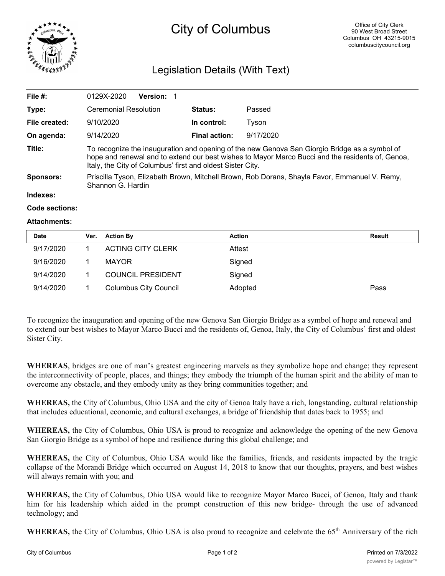

# City of Columbus

# Legislation Details (With Text)

| File #:          | <b>Version: 1</b><br>0129X-2020                                                                                                                                                                                                                                 |                      |           |  |  |
|------------------|-----------------------------------------------------------------------------------------------------------------------------------------------------------------------------------------------------------------------------------------------------------------|----------------------|-----------|--|--|
| Type:            | <b>Ceremonial Resolution</b>                                                                                                                                                                                                                                    | Status:              | Passed    |  |  |
| File created:    | 9/10/2020                                                                                                                                                                                                                                                       | In control:          | Tvson     |  |  |
| On agenda:       | 9/14/2020                                                                                                                                                                                                                                                       | <b>Final action:</b> | 9/17/2020 |  |  |
| Title:           | To recognize the inauguration and opening of the new Genova San Giorgio Bridge as a symbol of<br>hope and renewal and to extend our best wishes to Mayor Marco Bucci and the residents of, Genoa,<br>Italy, the City of Columbus' first and oldest Sister City. |                      |           |  |  |
| <b>Sponsors:</b> | Priscilla Tyson, Elizabeth Brown, Mitchell Brown, Rob Dorans, Shayla Favor, Emmanuel V. Remy,<br>Shannon G. Hardin                                                                                                                                              |                      |           |  |  |
| Indexes:         |                                                                                                                                                                                                                                                                 |                      |           |  |  |

#### **Code sections:**

#### **Attachments:**

| <b>Date</b> | Ver. | <b>Action By</b>             | <b>Action</b> | Result |
|-------------|------|------------------------------|---------------|--------|
| 9/17/2020   |      | ACTING CITY CLERK            | Attest        |        |
| 9/16/2020   |      | MAYOR                        | Signed        |        |
| 9/14/2020   |      | <b>COUNCIL PRESIDENT</b>     | Signed        |        |
| 9/14/2020   |      | <b>Columbus City Council</b> | Adopted       | Pass   |

To recognize the inauguration and opening of the new Genova San Giorgio Bridge as a symbol of hope and renewal and to extend our best wishes to Mayor Marco Bucci and the residents of, Genoa, Italy, the City of Columbus' first and oldest Sister City.

**WHEREAS**, bridges are one of man's greatest engineering marvels as they symbolize hope and change; they represent the interconnectivity of people, places, and things; they embody the triumph of the human spirit and the ability of man to overcome any obstacle, and they embody unity as they bring communities together; and

**WHEREAS,** the City of Columbus, Ohio USA and the city of Genoa Italy have a rich, longstanding, cultural relationship that includes educational, economic, and cultural exchanges, a bridge of friendship that dates back to 1955; and

**WHEREAS,** the City of Columbus, Ohio USA is proud to recognize and acknowledge the opening of the new Genova San Giorgio Bridge as a symbol of hope and resilience during this global challenge; and

**WHEREAS,** the City of Columbus, Ohio USA would like the families, friends, and residents impacted by the tragic collapse of the Morandi Bridge which occurred on August 14, 2018 to know that our thoughts, prayers, and best wishes will always remain with you; and

**WHEREAS,** the City of Columbus, Ohio USA would like to recognize Mayor Marco Bucci, of Genoa, Italy and thank him for his leadership which aided in the prompt construction of this new bridge- through the use of advanced technology; and

WHEREAS, the City of Columbus, Ohio USA is also proud to recognize and celebrate the 65<sup>th</sup> Anniversary of the rich